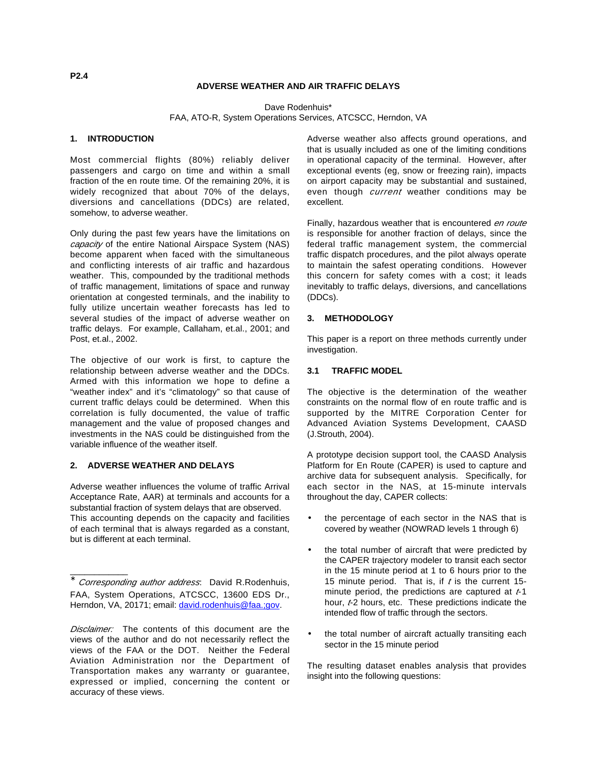# **ADVERSE WEATHER AND AIR TRAFFIC DELAYS**

Dave Rodenhuis\*

FAA, ATO-R, System Operations Services, ATCSCC, Herndon, VA

## **1. INTRODUCTION**

Most commercial flights (80%) reliably deliver passengers and cargo on time and within a small fraction of the en route time. Of the remaining 20%, it is widely recognized that about 70% of the delays, diversions and cancellations (DDCs) are related, somehow, to adverse weather.

Only during the past few years have the limitations on capacity of the entire National Airspace System (NAS) become apparent when faced with the simultaneous and conflicting interests of air traffic and hazardous weather. This, compounded by the traditional methods of traffic management, limitations of space and runway orientation at congested terminals, and the inability to fully utilize uncertain weather forecasts has led to several studies of the impact of adverse weather on traffic delays. For example, Callaham, et.al., 2001; and Post, et.al., 2002.

The objective of our work is first, to capture the relationship between adverse weather and the DDCs. Armed with this information we hope to define a "weather index" and it's "climatology" so that cause of current traffic delays could be determined. When this correlation is fully documented, the value of traffic management and the value of proposed changes and investments in the NAS could be distinguished from the variable influence of the weather itself.

### **2. ADVERSE WEATHER AND DELAYS**

\_\_\_\_\_\_\_\_\_\_\_\_

Adverse weather influences the volume of traffic Arrival Acceptance Rate, AAR) at terminals and accounts for a substantial fraction of system delays that are observed. This accounting depends on the capacity and facilities of each terminal that is always regarded as a constant, but is different at each terminal.

Adverse weather also affects ground operations, and that is usually included as one of the limiting conditions in operational capacity of the terminal. However, after exceptional events (eg, snow or freezing rain), impacts on airport capacity may be substantial and sustained, even though *current* weather conditions may be excellent.

Finally, hazardous weather that is encountered en route is responsible for another fraction of delays, since the federal traffic management system, the commercial traffic dispatch procedures, and the pilot always operate to maintain the safest operating conditions. However this concern for safety comes with a cost; it leads inevitably to traffic delays, diversions, and cancellations (DDCs).

### **3. METHODOLOGY**

This paper is a report on three methods currently under investigation.

#### **3.1 TRAFFIC MODEL**

The objective is the determination of the weather constraints on the normal flow of en route traffic and is supported by the MITRE Corporation Center for Advanced Aviation Systems Development, CAASD (J.Strouth, 2004).

A prototype decision support tool, the CAASD Analysis Platform for En Route (CAPER) is used to capture and archive data for subsequent analysis. Specifically, for each sector in the NAS, at 15-minute intervals throughout the day, CAPER collects:

- the percentage of each sector in the NAS that is covered by weather (NOWRAD levels 1 through 6)
- the total number of aircraft that were predicted by the CAPER trajectory modeler to transit each sector in the 15 minute period at 1 to 6 hours prior to the 15 minute period. That is, if  $t$  is the current 15minute period, the predictions are captured at  $t-1$ hour,  $t-2$  hours, etc. These predictions indicate the intended flow of traffic through the sectors.
- the total number of aircraft actually transiting each sector in the 15 minute period

The resulting dataset enables analysis that provides insight into the following questions:

Corresponding author address: David R.Rodenhuis, FAA, System Operations, ATCSCC, 13600 EDS Dr., Herndon, VA, 20171; email: david.rodenhuis@faa.;gov.

Disclaimer: The contents of this document are the views of the author and do not necessarily reflect the views of the FAA or the DOT. Neither the Federal Aviation Administration nor the Department of Transportation makes any warranty or guarantee, expressed or implied, concerning the content or accuracy of these views.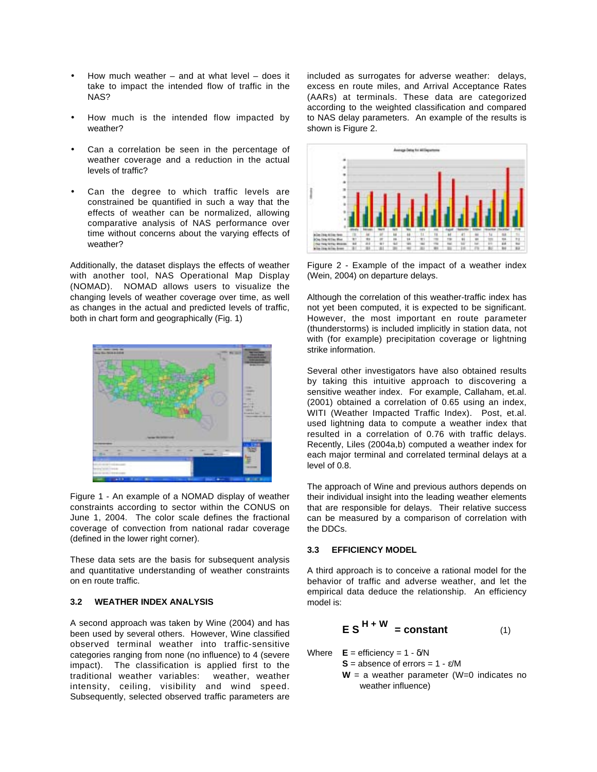- How much weather  $-$  and at what level  $-$  does it take to impact the intended flow of traffic in the NAS?
- How much is the intended flow impacted by weather?
- Can a correlation be seen in the percentage of weather coverage and a reduction in the actual levels of traffic?
- Can the degree to which traffic levels are constrained be quantified in such a way that the effects of weather can be normalized, allowing comparative analysis of NAS performance over time without concerns about the varying effects of weather?

Additionally, the dataset displays the effects of weather with another tool, NAS Operational Map Display (NOMAD). NOMAD allows users to visualize the changing levels of weather coverage over time, as well as changes in the actual and predicted levels of traffic, both in chart form and geographically (Fig. 1)



Figure 1 - An example of a NOMAD display of weather constraints according to sector within the CONUS on June 1, 2004. The color scale defines the fractional coverage of convection from national radar coverage (defined in the lower right corner).

These data sets are the basis for subsequent analysis and quantitative understanding of weather constraints on en route traffic.

#### **3.2 WEATHER INDEX ANALYSIS**

A second approach was taken by Wine (2004) and has been used by several others. However, Wine classified observed terminal weather into traffic-sensitive categories ranging from none (no influence) to 4 (severe impact). The classification is applied first to the traditional weather variables: weather, weather intensity, ceiling, visibility and wind speed. Subsequently, selected observed traffic parameters are

included as surrogates for adverse weather: delays, excess en route miles, and Arrival Acceptance Rates (AARs) at terminals. These data are categorized according to the weighted classification and compared to NAS delay parameters. An example of the results is shown is Figure 2.



Figure 2 - Example of the impact of a weather index (Wein, 2004) on departure delays.

Although the correlation of this weather-traffic index has not yet been computed, it is expected to be significant. However, the most important en route parameter (thunderstorms) is included implicitly in station data, not with (for example) precipitation coverage or lightning strike information.

Several other investigators have also obtained results by taking this intuitive approach to discovering a sensitive weather index. For example, Callaham, et.al. (2001) obtained a correlation of 0.65 using an index, WITI (Weather Impacted Traffic Index). Post, et.al. used lightning data to compute a weather index that resulted in a correlation of 0.76 with traffic delays. Recently, Liles (2004a,b) computed a weather index for each major terminal and correlated terminal delays at a level of 0.8.

The approach of Wine and previous authors depends on their individual insight into the leading weather elements that are responsible for delays. Their relative success can be measured by a comparison of correlation with the DDCs.

### **3.3 EFFICIENCY MODEL**

A third approach is to conceive a rational model for the behavior of traffic and adverse weather, and let the empirical data deduce the relationship. An efficiency model is:

$$
ES^{H+W} = constant
$$
 (1)

Where  $E =$  efficiency =  $1 - \delta/N$ 

 $S =$  absence of errors =  $1 - \varepsilon/M$ 

**W** = a weather parameter (W=0 indicates no weather influence)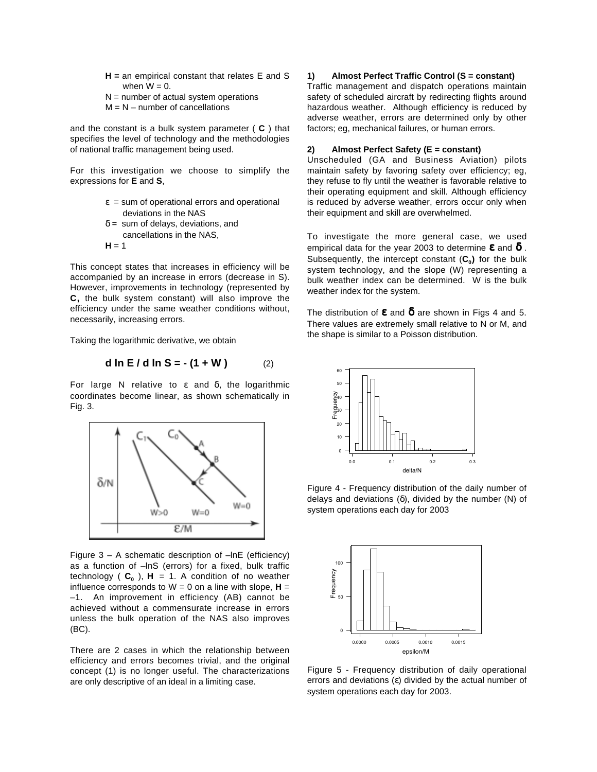- **H =** an empirical constant that relates E and S when  $W = 0$ .
- $N =$  number of actual system operations
- $M = N -$  number of cancellations

and the constant is a bulk system parameter ( **C** ) that specifies the level of technology and the methodologies of national traffic management being used.

For this investigation we choose to simplify the expressions for **E** and **S**,

- $\epsilon$  = sum of operational errors and operational deviations in the NAS
- $\delta$  = sum of delays, deviations, and cancellations in the NAS,
- $H = 1$

This concept states that increases in efficiency will be accompanied by an increase in errors (decrease in S). However, improvements in technology (represented by **C,** the bulk system constant) will also improve the efficiency under the same weather conditions without, necessarily, increasing errors.

Taking the logarithmic derivative, we obtain

**d ln E / d ln S = - (1 + W )** (2)

For large N relative to  $ε$  and  $δ$ , the logarithmic coordinates become linear, as shown schematically in Fig. 3.



Figure  $3 - A$  schematic description of  $-\ln E$  (efficiency) as a function of –lnS (errors) for a fixed, bulk traffic technology  $(C_0)$ ,  $H = 1$ . A condition of no weather influence corresponds to  $W = 0$  on a line with slope,  $H =$ –1. An improvement in efficiency (AB) cannot be achieved without a commensurate increase in errors unless the bulk operation of the NAS also improves (BC).

There are 2 cases in which the relationship between efficiency and errors becomes trivial, and the original concept (1) is no longer useful. The characterizations are only descriptive of an ideal in a limiting case.

#### **1) Almost Perfect Traffic Control (S = constant)**

Traffic management and dispatch operations maintain safety of scheduled aircraft by redirecting flights around hazardous weather. Although efficiency is reduced by adverse weather, errors are determined only by other factors; eg, mechanical failures, or human errors.

# **2) Almost Perfect Safety (E = constant)**

Unscheduled (GA and Business Aviation) pilots maintain safety by favoring safety over efficiency; eg, they refuse to fly until the weather is favorable relative to their operating equipment and skill. Although efficiency is reduced by adverse weather, errors occur only when their equipment and skill are overwhelmed.

To investigate the more general case, we used empirical data for the year 2003 to determine  $\epsilon$  and  $\delta$ . Subsequently, the intercept constant  $(C_0)$  for the bulk system technology, and the slope (W) representing a bulk weather index can be determined. W is the bulk weather index for the system.

The distribution of  $\varepsilon$  and  $\delta$  are shown in Figs 4 and 5. There values are extremely small relative to N or M, and the shape is similar to a Poisson distribution.



Figure 4 - Frequency distribution of the daily number of delays and deviations (δ), divided by the number (N) of system operations each day for 2003



Figure 5 - Frequency distribution of daily operational errors and deviations (ε) divided by the actual number of system operations each day for 2003.